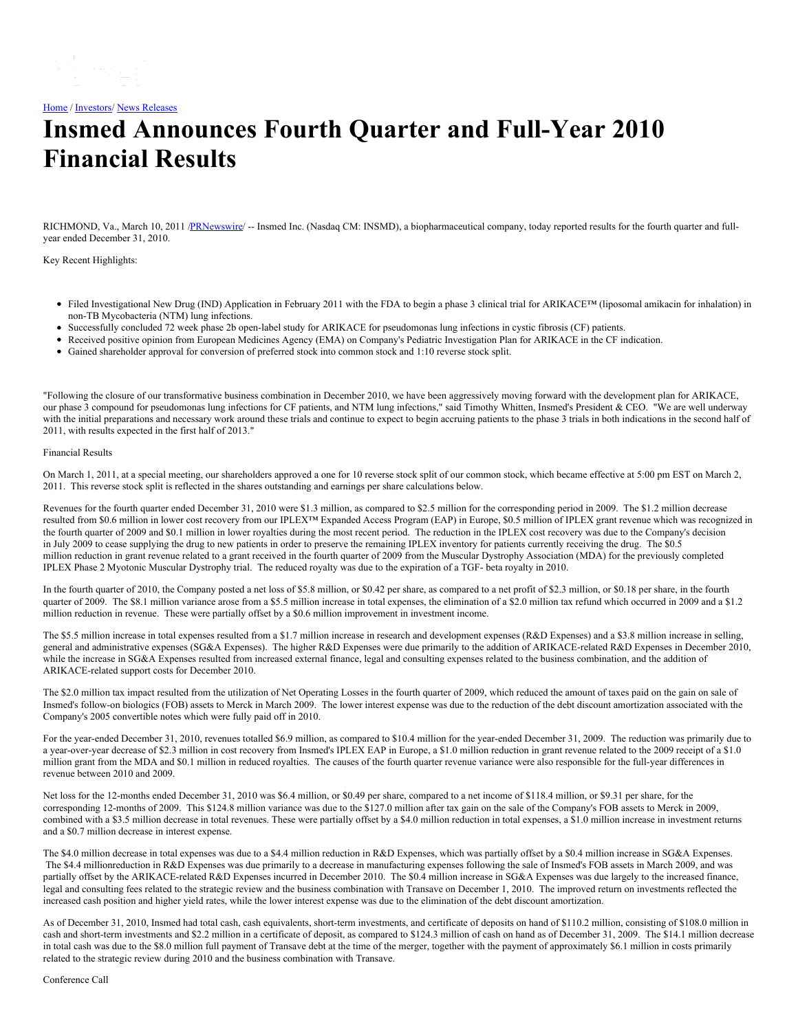[Home](https://insmed.com/) / [Investors](https://investor.insmed.com/index)/ News [Releases](https://investor.insmed.com/releases)

# **Insmed Announces Fourth Quarter and Full-Year 2010 Financial Results**

RICHMOND, Va., March 10, 2011 [/PRNewswire](http://www.prnewswire.com/)/ -- Insmed Inc. (Nasdaq CM: INSMD), a biopharmaceutical company, today reported results for the fourth quarter and fullyear ended December 31, 2010.

Key Recent Highlights:

- Filed Investigational New Drug (IND) Application in February 2011 with the FDA to begin a phase 3 clinical trial for ARIKACE™ (liposomal amikacin for inhalation) in non-TB Mycobacteria (NTM) lung infections.
- Successfully concluded 72 week phase 2b open-label study for ARIKACE for pseudomonas lung infections in cystic fibrosis (CF) patients.
- Received positive opinion from European Medicines Agency (EMA) on Company's Pediatric Investigation Plan for ARIKACE in the CF indication.
- Gained shareholder approval for conversion of preferred stock into common stock and 1:10 reverse stock split.

"Following the closure of our transformative business combination in December 2010, we have been aggressively moving forward with the development plan for ARIKACE, our phase 3 compound for pseudomonas lung infections for CF patients, and NTM lung infections," said Timothy Whitten, Insmed's President & CEO. "We are well underway with the initial preparations and necessary work around these trials and continue to expect to begin accruing patients to the phase 3 trials in both indications in the second half of 2011, with results expected in the first half of 2013."

#### Financial Results

On March 1, 2011, at a special meeting, our shareholders approved a one for 10 reverse stock split of our common stock, which became effective at 5:00 pm EST on March 2, 2011. This reverse stock split is reflected in the shares outstanding and earnings per share calculations below.

Revenues for the fourth quarter ended December 31, 2010 were \$1.3 million, as compared to \$2.5 million for the corresponding period in 2009. The \$1.2 million decrease resulted from \$0.6 million in lower cost recovery from our IPLEX™ Expanded Access Program (EAP) in Europe, \$0.5 million of IPLEX grant revenue which was recognized in the fourth quarter of 2009 and \$0.1 million in lower royalties during the most recent period. The reduction in the IPLEX cost recovery was due to the Company's decision in July 2009 to cease supplying the drug to new patients in order to preserve the remaining IPLEX inventory for patients currently receiving the drug. The \$0.5 million reduction in grant revenue related to a grant received in the fourth quarter of 2009 from the Muscular Dystrophy Association (MDA) for the previously completed IPLEX Phase 2 Myotonic Muscular Dystrophy trial. The reduced royalty was due to the expiration of a TGF- beta royalty in 2010.

In the fourth quarter of 2010, the Company posted a net loss of \$5.8 million, or \$0.42 per share, as compared to a net profit of \$2.3 million, or \$0.18 per share, in the fourth quarter of 2009. The \$8.1 million variance arose from a \$5.5 million increase in total expenses, the elimination of a \$2.0 million tax refund which occurred in 2009 and a \$1.2 million reduction in revenue. These were partially offset by a \$0.6 million improvement in investment income.

The \$5.5 million increase in total expenses resulted from a \$1.7 million increase in research and development expenses (R&D Expenses) and a \$3.8 million increase in selling, general and administrative expenses (SG&A Expenses). The higher R&D Expenses were due primarily to the addition of ARIKACE-related R&D Expenses in December 2010, while the increase in SG&A Expenses resulted from increased external finance, legal and consulting expenses related to the business combination, and the addition of ARIKACE-related support costs for December 2010.

The \$2.0 million tax impact resulted from the utilization of Net Operating Losses in the fourth quarter of 2009, which reduced the amount of taxes paid on the gain on sale of Insmed's follow-on biologics (FOB) assets to Merck in March 2009. The lower interest expense was due to the reduction of the debt discount amortization associated with the Company's 2005 convertible notes which were fully paid off in 2010.

For the year-ended December 31, 2010, revenues totalled \$6.9 million, as compared to \$10.4 million for the year-ended December 31, 2009. The reduction was primarily due to a year-over-year decrease of \$2.3 million in cost recovery from Insmed's IPLEX EAP in Europe, a \$1.0 million reduction in grant revenue related to the 2009 receipt of a \$1.0 million grant from the MDA and \$0.1 million in reduced royalties. The causes of the fourth quarter revenue variance were also responsible for the full-year differences in revenue between 2010 and 2009.

Net loss for the 12-months ended December 31, 2010 was \$6.4 million, or \$0.49 per share, compared to a net income of \$118.4 million, or \$9.31 per share, for the corresponding 12-months of 2009. This \$124.8 million variance was due to the \$127.0 million after tax gain on the sale of the Company's FOB assets to Merck in 2009, combined with a \$3.5 million decrease in total revenues. These were partially offset by a \$4.0 million reduction in total expenses, a \$1.0 million increase in investment returns and a \$0.7 million decrease in interest expense.

The \$4.0 million decrease in total expenses was due to a \$4.4 million reduction in R&D Expenses, which was partially offset by a \$0.4 million increase in SG&A Expenses. The \$4.4 millionreduction in R&D Expenses was due primarily to a decrease in manufacturing expenses following the sale of Insmed's FOB assets in March 2009, and was partially offset by the ARIKACE-related R&D Expenses incurred in December 2010. The \$0.4 million increase in SG&A Expenses was due largely to the increased finance, legal and consulting fees related to the strategic review and the business combination with Transave on December 1, 2010. The improved return on investments reflected the increased cash position and higher yield rates, while the lower interest expense was due to the elimination of the debt discount amortization.

As of December 31, 2010, Insmed had total cash, cash equivalents, short-term investments, and certificate of deposits on hand of \$110.2 million, consisting of \$108.0 million in cash and short-term investments and \$2.2 million in a certificate of deposit, as compared to \$124.3 million of cash on hand as of December 31, 2009. The \$14.1 million decrease in total cash was due to the \$8.0 million full payment of Transave debt at the time of the merger, together with the payment of approximately \$6.1 million in costs primarily related to the strategic review during 2010 and the business combination with Transave.

Conference Call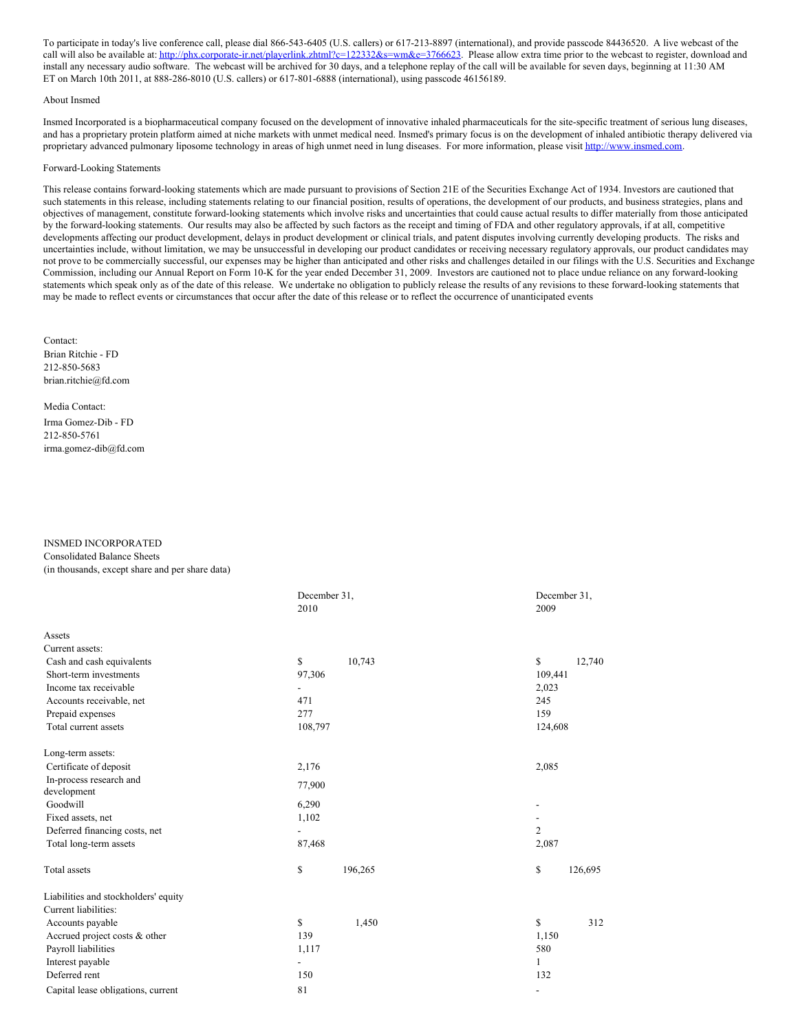To participate in today's live conference call, please dial 866-543-6405 (U.S. callers) or 617-213-8897 (international), and provide passcode 84436520. A live webcast of the call will also be available at: [http://phx.corporate-ir.net/playerlink.zhtml?c=122332&s=wm&e=3766623.](http://us.lrd.yahoo.com/SIG=12fhc66t5/**http%3A//phx.corporate-ir.net/playerlink.zhtml%3Fc=122332%26s=wm%26e=3766623) Please allow extra time prior to the webcast to register, download and install any necessary audio software. The webcast will be archived for 30 days, and a telephone replay of the call will be available for seven days, beginning at 11:30 AM ET on March 10th 2011, at 888-286-8010 (U.S. callers) or 617-801-6888 (international), using passcode 46156189.

### About Insmed

Insmed Incorporated is a biopharmaceutical company focused on the development of innovative inhaled pharmaceuticals for the site-specific treatment of serious lung diseases, and has a proprietary protein platform aimed at niche markets with unmet medical need. Insmed's primary focus is on the development of inhaled antibiotic therapy delivered via proprietary advanced pulmonary liposome technology in areas of high unmet need in lung diseases. For more information, please visit [http://www.insmed.com](http://us.lrd.yahoo.com/SIG=10rtnu28m/**http%3A//www.insmed.com/).

#### Forward-Looking Statements

This release contains forward-looking statements which are made pursuant to provisions of Section 21E of the Securities Exchange Act of 1934. Investors are cautioned that such statements in this release, including statements relating to our financial position, results of operations, the development of our products, and business strategies, plans and objectives of management, constitute forward-looking statements which involve risks and uncertainties that could cause actual results to differ materially from those anticipated by the forward-looking statements. Our results may also be affected by such factors as the receipt and timing of FDA and other regulatory approvals, if at all, competitive developments affecting our product development, delays in product development or clinical trials, and patent disputes involving currently developing products. The risks and uncertainties include, without limitation, we may be unsuccessful in developing our product candidates or receiving necessary regulatory approvals, our product candidates may not prove to be commercially successful, our expenses may be higher than anticipated and other risks and challenges detailed in our filings with the U.S. Securities and Exchange Commission, including our Annual Report on Form 10-K for the year ended December 31, 2009. Investors are cautioned not to place undue reliance on any forward-looking statements which speak only as of the date of this release. We undertake no obligation to publicly release the results of any revisions to these forward-looking statements that may be made to reflect events or circumstances that occur after the date of this release or to reflect the occurrence of unanticipated events

Contact: Brian Ritchie - FD 212-850-5683 brian.ritchie@fd.com

Media Contact: Irma Gomez-Dib - FD 212-850-5761 irma.gomez-dib@fd.com

## INSMED INCORPORATED Consolidated Balance Sheets (in thousands, except share and per share data)

|                                        | December 31,<br>2010 |         | December 31.<br>2009     |         |  |
|----------------------------------------|----------------------|---------|--------------------------|---------|--|
| Assets                                 |                      |         |                          |         |  |
| Current assets:                        |                      |         |                          |         |  |
| Cash and cash equivalents              | \$                   | 10,743  | $\mathbb{S}$             | 12,740  |  |
| Short-term investments                 | 97,306               |         | 109,441                  |         |  |
| Income tax receivable                  |                      |         | 2,023                    |         |  |
| Accounts receivable, net               | 471                  |         | 245                      |         |  |
| Prepaid expenses                       | 277                  |         | 159                      |         |  |
| Total current assets                   | 108,797              |         | 124,608                  |         |  |
| Long-term assets:                      |                      |         |                          |         |  |
| Certificate of deposit                 | 2,176                |         | 2,085                    |         |  |
| In-process research and<br>development | 77,900               |         |                          |         |  |
| Goodwill                               | 6,290                |         |                          |         |  |
| Fixed assets, net                      | 1,102                |         |                          |         |  |
| Deferred financing costs, net          |                      |         | $\overline{c}$           |         |  |
| Total long-term assets                 | 87,468               |         | 2,087                    |         |  |
| <b>Total</b> assets                    | \$                   | 196,265 | \$                       | 126,695 |  |
| Liabilities and stockholders' equity   |                      |         |                          |         |  |
| Current liabilities:                   |                      |         |                          |         |  |
| Accounts payable                       | \$                   | 1,450   | \$                       | 312     |  |
| Accrued project costs & other          | 139                  |         | 1,150                    |         |  |
| Payroll liabilities                    | 1,117                |         | 580                      |         |  |
| Interest payable                       |                      |         | 1                        |         |  |
| Deferred rent                          | 150                  |         | 132                      |         |  |
| Capital lease obligations, current     | 81                   |         | $\overline{\phantom{a}}$ |         |  |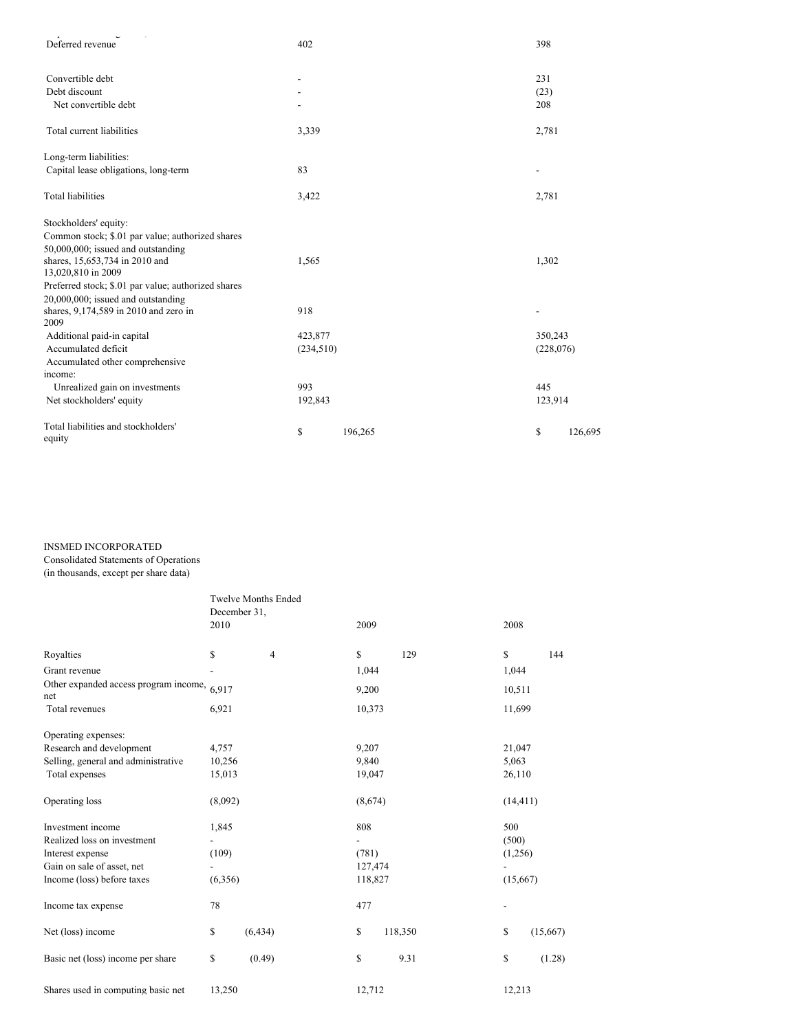| Deferred revenue                                    | 402        |         | 398        |         |
|-----------------------------------------------------|------------|---------|------------|---------|
| Convertible debt                                    |            |         | 231        |         |
| Debt discount                                       |            |         | (23)       |         |
| Net convertible debt                                |            |         | 208        |         |
| Total current liabilities                           | 3,339      |         | 2,781      |         |
| Long-term liabilities:                              |            |         |            |         |
| Capital lease obligations, long-term                | 83         |         |            |         |
| <b>Total liabilities</b>                            | 3,422      |         | 2,781      |         |
| Stockholders' equity:                               |            |         |            |         |
| Common stock; \$.01 par value; authorized shares    |            |         |            |         |
| 50,000,000; issued and outstanding                  |            |         |            |         |
| shares, 15,653,734 in 2010 and                      | 1,565      |         | 1,302      |         |
| 13,020,810 in 2009                                  |            |         |            |         |
| Preferred stock; \$.01 par value; authorized shares |            |         |            |         |
| 20,000,000; issued and outstanding                  |            |         |            |         |
| shares, 9,174,589 in 2010 and zero in<br>2009       | 918        |         |            |         |
| Additional paid-in capital                          | 423,877    |         | 350,243    |         |
| Accumulated deficit                                 | (234, 510) |         | (228, 076) |         |
| Accumulated other comprehensive                     |            |         |            |         |
| income:                                             |            |         |            |         |
| Unrealized gain on investments                      | 993        |         | 445        |         |
| Net stockholders' equity                            | 192,843    |         | 123,914    |         |
| Total liabilities and stockholders'<br>equity       | \$         | 196,265 | \$         | 126,695 |

# INSMED INCORPORATED

Consolidated Statements of Operations

(in thousands, except per share data)

|                                                      | <b>Twelve Months Ended</b> |                |                |         |                |  |
|------------------------------------------------------|----------------------------|----------------|----------------|---------|----------------|--|
|                                                      | December 31,               |                |                |         |                |  |
|                                                      | 2010                       |                | 2009           |         | 2008           |  |
| Royalties                                            | \$                         | $\overline{4}$ | \$             | 129     | \$<br>144      |  |
| Grant revenue                                        |                            |                | 1,044          |         | 1,044          |  |
| Other expanded access program income, $6,917$<br>net |                            |                | 9,200          |         | 10,511         |  |
| Total revenues                                       | 6,921                      |                | 10,373         |         | 11,699         |  |
| Operating expenses:                                  |                            |                |                |         |                |  |
| Research and development                             | 4,757                      |                | 9,207          |         | 21,047         |  |
| Selling, general and administrative                  | 10,256                     |                | 9,840          |         | 5,063          |  |
| Total expenses                                       | 15,013                     |                | 19,047         |         | 26,110         |  |
| Operating loss                                       | (8,092)                    |                | (8,674)        |         | (14, 411)      |  |
| Investment income                                    | 1,845                      |                | 808            |         | 500            |  |
| Realized loss on investment                          | $\overline{\phantom{a}}$   |                | $\overline{a}$ |         | (500)          |  |
| Interest expense                                     | (109)                      |                | (781)          |         | (1,256)        |  |
| Gain on sale of asset, net                           |                            |                | 127,474        |         |                |  |
| Income (loss) before taxes                           | (6,356)                    |                | 118,827        |         | (15,667)       |  |
| Income tax expense                                   | 78                         |                | 477            |         | -              |  |
| Net (loss) income                                    | \$                         | (6, 434)       | \$             | 118,350 | \$<br>(15,667) |  |
| Basic net (loss) income per share                    | \$                         | (0.49)         | \$             | 9.31    | \$<br>(1.28)   |  |
| Shares used in computing basic net                   | 13,250                     |                | 12.712         |         | 12.213         |  |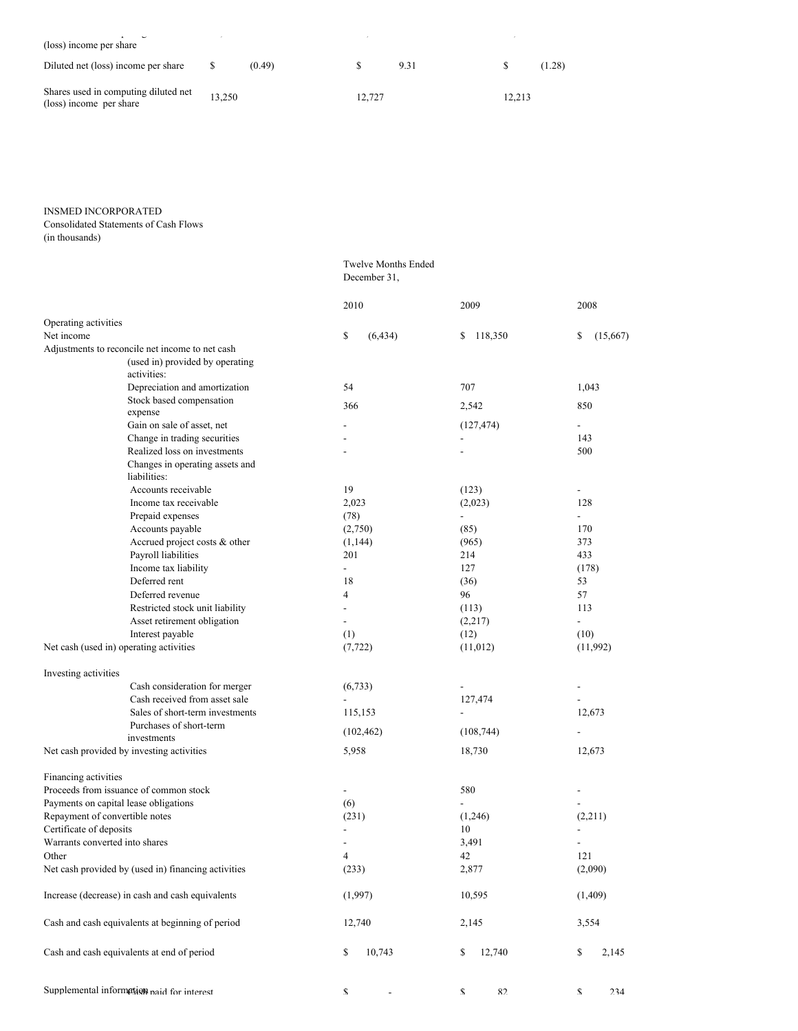| $\overline{\phantom{0}}$<br>(loss) income per share             |        |        | $\lambda$ |      |        |        |
|-----------------------------------------------------------------|--------|--------|-----------|------|--------|--------|
| Diluted net (loss) income per share                             | S      | (0.49) |           | 9.31 |        | (1.28) |
| Shares used in computing diluted net<br>(loss) income per share | 13,250 |        | 12.727    |      | 12,213 |        |

Twelve Months Ended

# INSMED INCORPORATED

Consolidated Statements of Cash Flows

(in thousands)

|                                                     | December 31,             |                          |                          |
|-----------------------------------------------------|--------------------------|--------------------------|--------------------------|
|                                                     | 2010                     | 2009                     | 2008                     |
| Operating activities                                |                          |                          |                          |
| Net income                                          | \$<br>(6, 434)           | 118,350<br>\$            | \$<br>(15,667)           |
| Adjustments to reconcile net income to net cash     |                          |                          |                          |
| (used in) provided by operating<br>activities:      |                          |                          |                          |
| Depreciation and amortization                       | 54                       | 707                      | 1,043                    |
| Stock based compensation<br>expense                 | 366                      | 2,542                    | 850                      |
| Gain on sale of asset, net                          |                          | (127, 474)               | $\overline{\phantom{0}}$ |
| Change in trading securities                        |                          |                          | 143                      |
| Realized loss on investments                        |                          |                          | 500                      |
| Changes in operating assets and<br>liabilities:     |                          |                          |                          |
| Accounts receivable                                 | 19                       | (123)                    |                          |
| Income tax receivable                               | 2,023                    | (2,023)                  | 128                      |
| Prepaid expenses                                    | (78)                     |                          |                          |
| Accounts payable                                    | (2,750)                  | (85)                     | 170                      |
| Accrued project costs & other                       | (1, 144)                 | (965)                    | 373                      |
| Payroll liabilities                                 | 201                      | 214                      | 433                      |
| Income tax liability                                | ÷.                       | 127                      | (178)                    |
| Deferred rent                                       | 18                       | (36)                     | 53                       |
| Deferred revenue                                    | 4                        | 96                       | 57                       |
| Restricted stock unit liability                     |                          | (113)                    | 113                      |
| Asset retirement obligation                         | $\overline{a}$           | (2,217)                  | $\overline{\phantom{0}}$ |
| Interest payable                                    | (1)                      | (12)                     | (10)                     |
| Net cash (used in) operating activities             | (7, 722)                 | (11,012)                 | (11,992)                 |
| Investing activities                                |                          |                          |                          |
| Cash consideration for merger                       | (6,733)                  |                          |                          |
| Cash received from asset sale                       |                          | 127,474                  |                          |
| Sales of short-term investments                     | 115,153                  | $\overline{\phantom{0}}$ | 12,673                   |
| Purchases of short-term<br>investments              | (102, 462)               | (108, 744)               |                          |
| Net cash provided by investing activities           | 5,958                    | 18,730                   | 12,673                   |
| Financing activities                                |                          |                          |                          |
| Proceeds from issuance of common stock              | $\overline{\phantom{a}}$ | 580                      |                          |
| Payments on capital lease obligations               | (6)                      |                          |                          |
| Repayment of convertible notes                      | (231)                    | (1,246)                  | (2,211)                  |
| Certificate of deposits                             |                          | 10                       |                          |
| Warrants converted into shares                      |                          | 3,491                    |                          |
| Other                                               | 4                        | 42                       | 121                      |
| Net cash provided by (used in) financing activities | (233)                    | 2,877                    | (2,090)                  |
| Increase (decrease) in cash and cash equivalents    | (1,997)                  | 10,595                   | (1,409)                  |
| Cash and cash equivalents at beginning of period    | 12,740                   | 2,145                    | 3,554                    |
| Cash and cash equivalents at end of period          | \$<br>10,743             | 12,740<br>\$             | \$<br>2,145              |
| Supplemental information naid for interest          | \$                       | 82<br>\$                 | \$<br>234                |